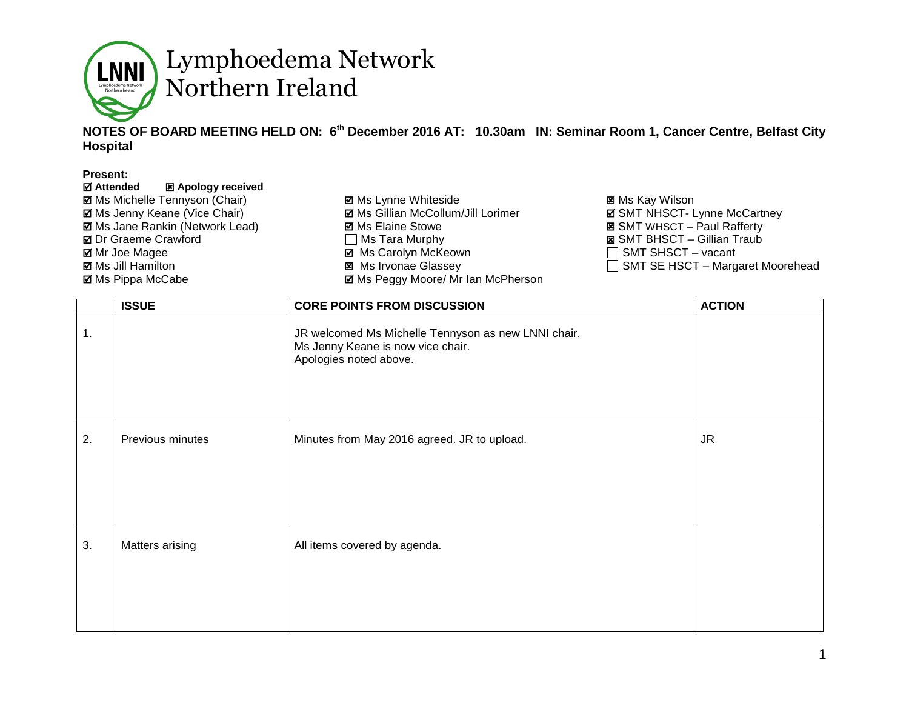

#### **NOTES OF BOARD MEETING HELD ON: 6 th December 2016 AT: 10.30am IN: Seminar Room 1, Cancer Centre, Belfast City Hospital**

#### **Present:**

| <b>☑ Attended</b><br>图 Apology received |                                           |                                     |
|-----------------------------------------|-------------------------------------------|-------------------------------------|
| <b>Ø</b> Ms Michelle Tennyson (Chair)   | <b>Ø</b> Ms Lynne Whiteside               | <b>図 Ms Kay Wilson</b>              |
| <b>Ø</b> Ms Jenny Keane (Vice Chair)    | ☑ Ms Gillian McCollum/Jill Lorimer        | <b>Ø SMT NHSCT- Lynne McCartney</b> |
| <b>Ø</b> Ms Jane Rankin (Network Lead)  | <b>Ø</b> Ms Elaine Stowe                  | <b>E</b> SMT WHSCT – Paul Rafferty  |
| <b>Ø</b> Dr Graeme Crawford             | $\Box$ Ms Tara Murphy                     | <b>E</b> SMT BHSCT – Gillian Traub  |
| ⊠ Mr Joe Magee                          | <b>⊠</b> Ms Carolyn McKeown               | $\Box$ SMT SHSCT – vacant           |
| <b>⊠</b> Ms Jill Hamilton               | <b>図</b> Ms Irvonae Glassey               | SMT SE HSCT - Margaret Moorehead    |
| <b>⊠</b> Ms Pippa McCabe                | <b>⊠ Ms Peggy Moore/ Mr Ian McPherson</b> |                                     |

|    | <b>ISSUE</b>     | <b>CORE POINTS FROM DISCUSSION</b>                                                                                 | <b>ACTION</b> |
|----|------------------|--------------------------------------------------------------------------------------------------------------------|---------------|
| 1. |                  | JR welcomed Ms Michelle Tennyson as new LNNI chair.<br>Ms Jenny Keane is now vice chair.<br>Apologies noted above. |               |
| 2. | Previous minutes | Minutes from May 2016 agreed. JR to upload.                                                                        | JR.           |
|    |                  |                                                                                                                    |               |
| 3. | Matters arising  | All items covered by agenda.                                                                                       |               |
|    |                  |                                                                                                                    |               |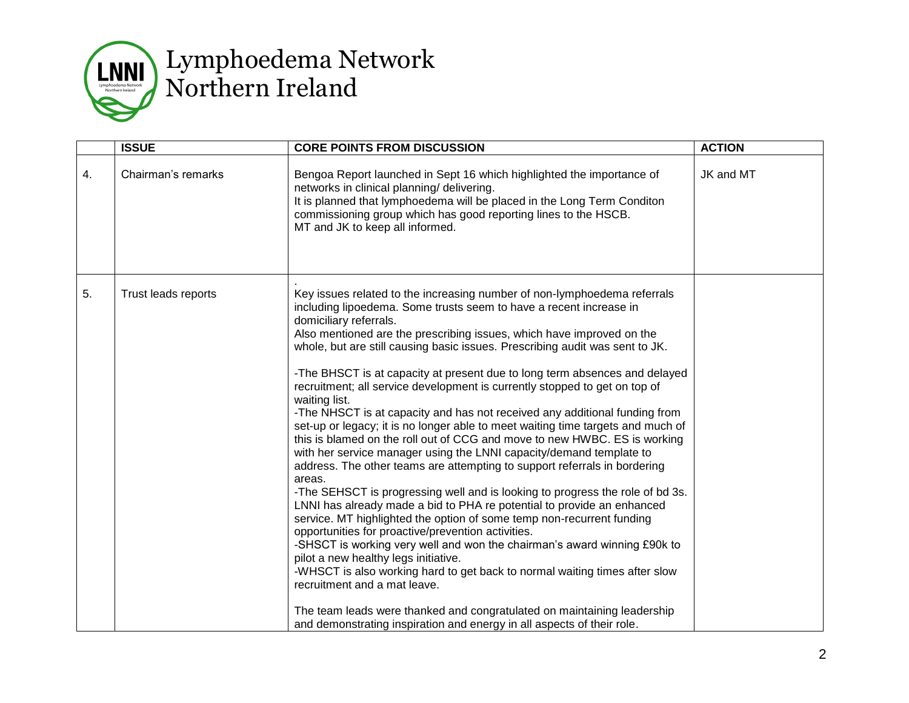

|    | <b>ISSUE</b>        | <b>CORE POINTS FROM DISCUSSION</b>                                                                                                                                                                                                                                                                                                                                                                                                                                                                                                                                                                                                                                                                                                                                                                                                                                                                                                                                                                                                                                                                                                                                                                                                                                                                                                                                                                                                                                                                                                                                                                          | <b>ACTION</b> |
|----|---------------------|-------------------------------------------------------------------------------------------------------------------------------------------------------------------------------------------------------------------------------------------------------------------------------------------------------------------------------------------------------------------------------------------------------------------------------------------------------------------------------------------------------------------------------------------------------------------------------------------------------------------------------------------------------------------------------------------------------------------------------------------------------------------------------------------------------------------------------------------------------------------------------------------------------------------------------------------------------------------------------------------------------------------------------------------------------------------------------------------------------------------------------------------------------------------------------------------------------------------------------------------------------------------------------------------------------------------------------------------------------------------------------------------------------------------------------------------------------------------------------------------------------------------------------------------------------------------------------------------------------------|---------------|
| 4. | Chairman's remarks  | Bengoa Report launched in Sept 16 which highlighted the importance of<br>networks in clinical planning/ delivering.<br>It is planned that lymphoedema will be placed in the Long Term Conditon<br>commissioning group which has good reporting lines to the HSCB.<br>MT and JK to keep all informed.                                                                                                                                                                                                                                                                                                                                                                                                                                                                                                                                                                                                                                                                                                                                                                                                                                                                                                                                                                                                                                                                                                                                                                                                                                                                                                        | JK and MT     |
| 5. | Trust leads reports | Key issues related to the increasing number of non-lymphoedema referrals<br>including lipoedema. Some trusts seem to have a recent increase in<br>domiciliary referrals.<br>Also mentioned are the prescribing issues, which have improved on the<br>whole, but are still causing basic issues. Prescribing audit was sent to JK.<br>-The BHSCT is at capacity at present due to long term absences and delayed<br>recruitment; all service development is currently stopped to get on top of<br>waiting list.<br>-The NHSCT is at capacity and has not received any additional funding from<br>set-up or legacy; it is no longer able to meet waiting time targets and much of<br>this is blamed on the roll out of CCG and move to new HWBC. ES is working<br>with her service manager using the LNNI capacity/demand template to<br>address. The other teams are attempting to support referrals in bordering<br>areas.<br>-The SEHSCT is progressing well and is looking to progress the role of bd 3s.<br>LNNI has already made a bid to PHA re potential to provide an enhanced<br>service. MT highlighted the option of some temp non-recurrent funding<br>opportunities for proactive/prevention activities.<br>-SHSCT is working very well and won the chairman's award winning £90k to<br>pilot a new healthy legs initiative.<br>-WHSCT is also working hard to get back to normal waiting times after slow<br>recruitment and a mat leave.<br>The team leads were thanked and congratulated on maintaining leadership<br>and demonstrating inspiration and energy in all aspects of their role. |               |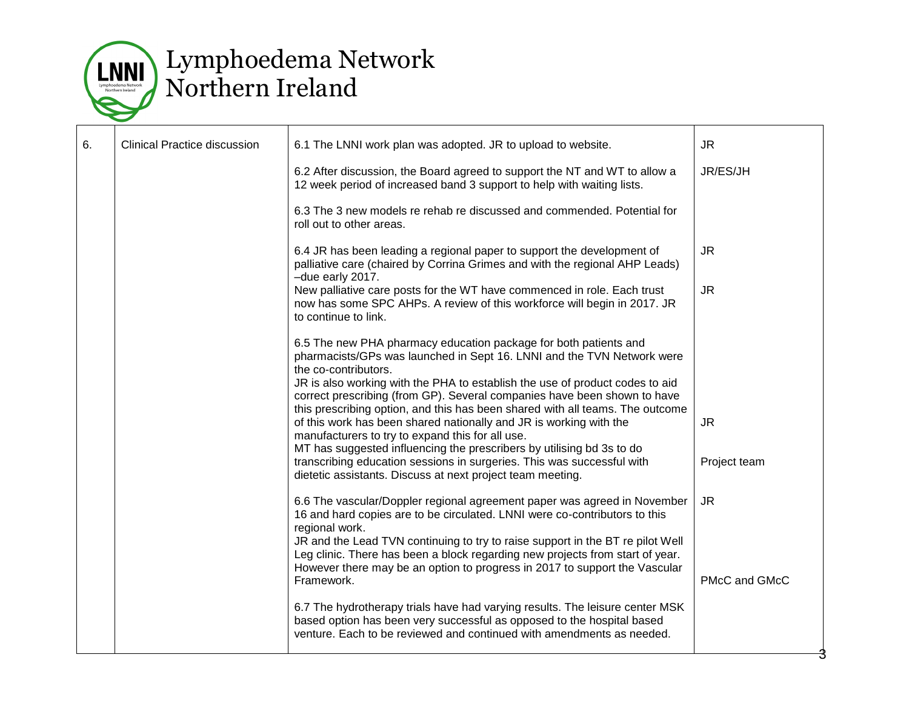

| 6. | <b>Clinical Practice discussion</b> | 6.1 The LNNI work plan was adopted. JR to upload to website.                                                                                                                                                                                                                                                                                                        | <b>JR</b>     |
|----|-------------------------------------|---------------------------------------------------------------------------------------------------------------------------------------------------------------------------------------------------------------------------------------------------------------------------------------------------------------------------------------------------------------------|---------------|
|    |                                     | 6.2 After discussion, the Board agreed to support the NT and WT to allow a<br>12 week period of increased band 3 support to help with waiting lists.                                                                                                                                                                                                                | JR/ES/JH      |
|    |                                     | 6.3 The 3 new models re rehab re discussed and commended. Potential for<br>roll out to other areas.                                                                                                                                                                                                                                                                 |               |
|    |                                     | 6.4 JR has been leading a regional paper to support the development of<br>palliative care (chaired by Corrina Grimes and with the regional AHP Leads)<br>-due early 2017.                                                                                                                                                                                           | <b>JR</b>     |
|    |                                     | New palliative care posts for the WT have commenced in role. Each trust<br>now has some SPC AHPs. A review of this workforce will begin in 2017. JR<br>to continue to link.                                                                                                                                                                                         | <b>JR</b>     |
|    |                                     | 6.5 The new PHA pharmacy education package for both patients and<br>pharmacists/GPs was launched in Sept 16. LNNI and the TVN Network were<br>the co-contributors.                                                                                                                                                                                                  |               |
|    |                                     | JR is also working with the PHA to establish the use of product codes to aid<br>correct prescribing (from GP). Several companies have been shown to have<br>this prescribing option, and this has been shared with all teams. The outcome<br>of this work has been shared nationally and JR is working with the<br>manufacturers to try to expand this for all use. | <b>JR</b>     |
|    |                                     | MT has suggested influencing the prescribers by utilising bd 3s to do<br>transcribing education sessions in surgeries. This was successful with<br>dietetic assistants. Discuss at next project team meeting.                                                                                                                                                       | Project team  |
|    |                                     | 6.6 The vascular/Doppler regional agreement paper was agreed in November<br>16 and hard copies are to be circulated. LNNI were co-contributors to this<br>regional work.                                                                                                                                                                                            | <b>JR</b>     |
|    |                                     | JR and the Lead TVN continuing to try to raise support in the BT re pilot Well<br>Leg clinic. There has been a block regarding new projects from start of year.<br>However there may be an option to progress in 2017 to support the Vascular<br>Framework.                                                                                                         | PMcC and GMcC |
|    |                                     | 6.7 The hydrotherapy trials have had varying results. The leisure center MSK<br>based option has been very successful as opposed to the hospital based<br>venture. Each to be reviewed and continued with amendments as needed.                                                                                                                                     |               |
|    |                                     |                                                                                                                                                                                                                                                                                                                                                                     |               |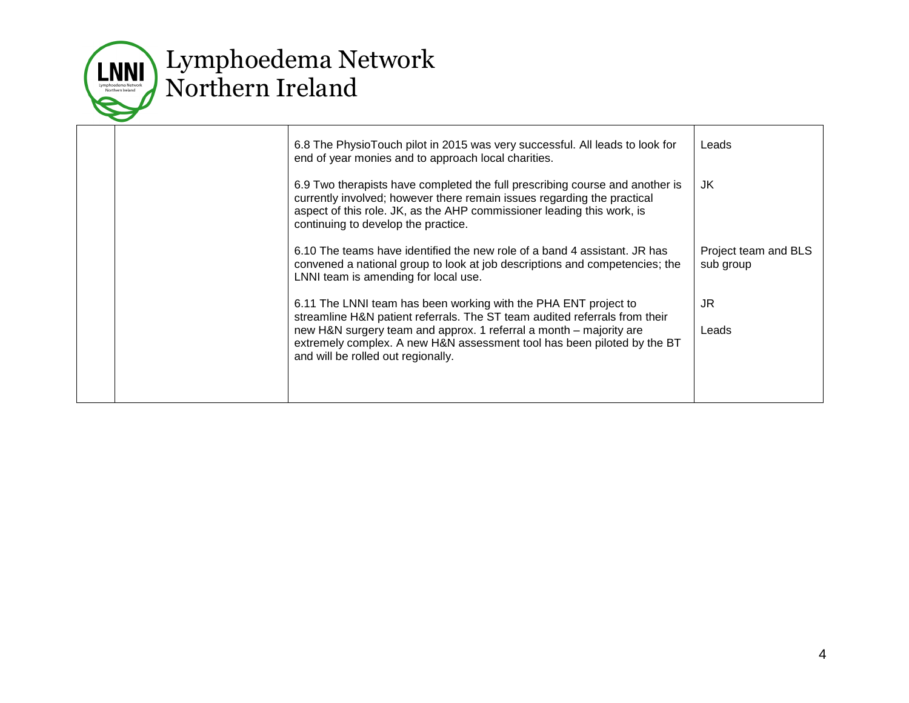

|  | 6.8 The PhysioTouch pilot in 2015 was very successful. All leads to look for<br>end of year monies and to approach local charities.                                                                                                                                      | Leads                             |
|--|--------------------------------------------------------------------------------------------------------------------------------------------------------------------------------------------------------------------------------------------------------------------------|-----------------------------------|
|  | 6.9 Two therapists have completed the full prescribing course and another is<br>currently involved; however there remain issues regarding the practical<br>aspect of this role. JK, as the AHP commissioner leading this work, is<br>continuing to develop the practice. | JK.                               |
|  | 6.10 The teams have identified the new role of a band 4 assistant. JR has<br>convened a national group to look at job descriptions and competencies; the<br>LNNI team is amending for local use.                                                                         | Project team and BLS<br>sub group |
|  | 6.11 The LNNI team has been working with the PHA ENT project to<br>streamline H&N patient referrals. The ST team audited referrals from their                                                                                                                            | JR                                |
|  | new H&N surgery team and approx. 1 referral a month - majority are<br>extremely complex. A new H&N assessment tool has been piloted by the BT<br>and will be rolled out regionally.                                                                                      | Leads                             |
|  |                                                                                                                                                                                                                                                                          |                                   |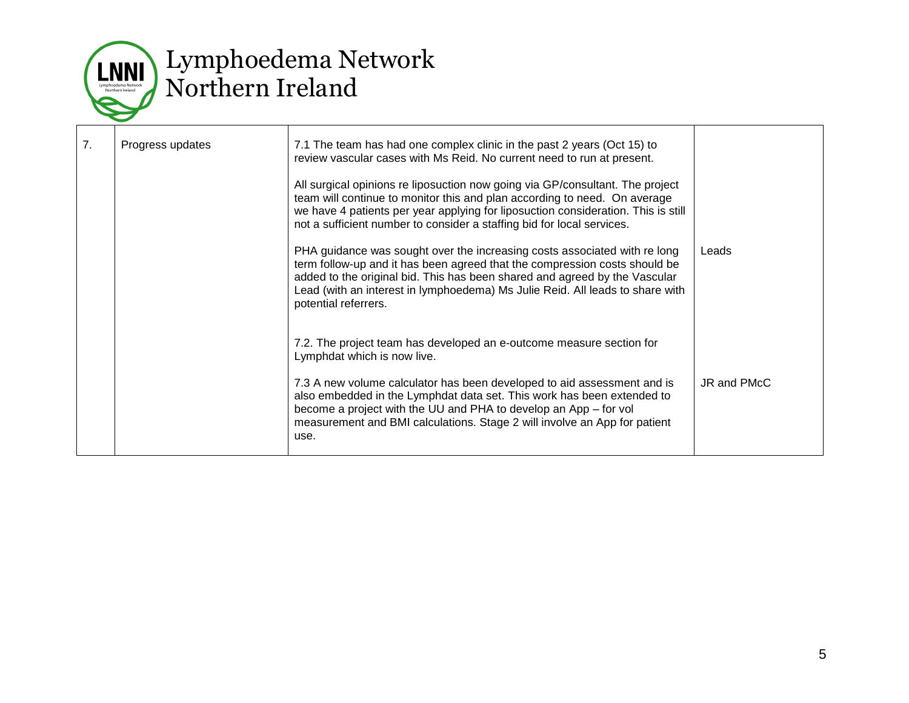

| 7. | Progress updates | 7.1 The team has had one complex clinic in the past 2 years (Oct 15) to<br>review vascular cases with Ms Reid. No current need to run at present.<br>All surgical opinions re liposuction now going via GP/consultant. The project<br>team will continue to monitor this and plan according to need. On average<br>we have 4 patients per year applying for liposuction consideration. This is still<br>not a sufficient number to consider a staffing bid for local services. |             |
|----|------------------|--------------------------------------------------------------------------------------------------------------------------------------------------------------------------------------------------------------------------------------------------------------------------------------------------------------------------------------------------------------------------------------------------------------------------------------------------------------------------------|-------------|
|    |                  | PHA guidance was sought over the increasing costs associated with re long<br>term follow-up and it has been agreed that the compression costs should be<br>added to the original bid. This has been shared and agreed by the Vascular<br>Lead (with an interest in lymphoedema) Ms Julie Reid. All leads to share with<br>potential referrers.                                                                                                                                 | Leads       |
|    |                  | 7.2. The project team has developed an e-outcome measure section for<br>Lymphdat which is now live.<br>7.3 A new volume calculator has been developed to aid assessment and is<br>also embedded in the Lymphdat data set. This work has been extended to<br>become a project with the UU and PHA to develop an App – for vol<br>measurement and BMI calculations. Stage 2 will involve an App for patient<br>use.                                                              | JR and PMcC |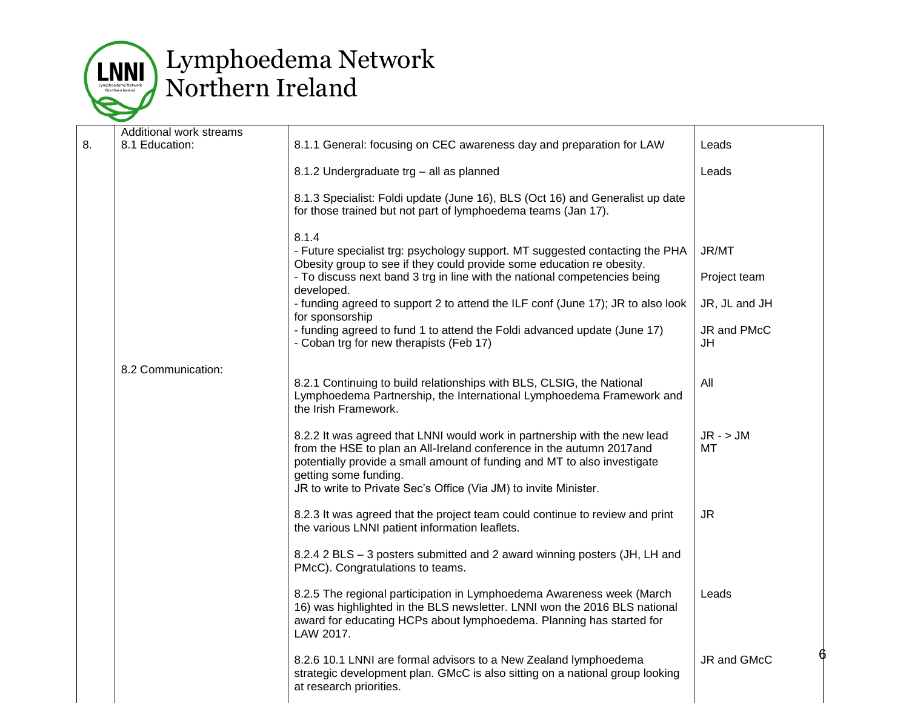

|    | Additional work streams |                                                                                                                                                                                                                                                                                                                            |                   |
|----|-------------------------|----------------------------------------------------------------------------------------------------------------------------------------------------------------------------------------------------------------------------------------------------------------------------------------------------------------------------|-------------------|
| 8. | 8.1 Education:          | 8.1.1 General: focusing on CEC awareness day and preparation for LAW                                                                                                                                                                                                                                                       | Leads             |
|    |                         | 8.1.2 Undergraduate trg - all as planned                                                                                                                                                                                                                                                                                   | Leads             |
|    |                         | 8.1.3 Specialist: Foldi update (June 16), BLS (Oct 16) and Generalist up date<br>for those trained but not part of lymphoedema teams (Jan 17).                                                                                                                                                                             |                   |
|    |                         | 8.1.4<br>- Future specialist trg: psychology support. MT suggested contacting the PHA<br>Obesity group to see if they could provide some education re obesity.                                                                                                                                                             | JR/MT             |
|    |                         | - To discuss next band 3 trg in line with the national competencies being<br>developed.                                                                                                                                                                                                                                    | Project team      |
|    |                         | - funding agreed to support 2 to attend the ILF conf (June 17); JR to also look<br>for sponsorship                                                                                                                                                                                                                         | JR, JL and JH     |
|    |                         | - funding agreed to fund 1 to attend the Foldi advanced update (June 17)<br>- Coban trg for new therapists (Feb 17)                                                                                                                                                                                                        | JR and PMcC<br>JH |
|    | 8.2 Communication:      | 8.2.1 Continuing to build relationships with BLS, CLSIG, the National<br>Lymphoedema Partnership, the International Lymphoedema Framework and<br>the Irish Framework.                                                                                                                                                      | All               |
|    |                         | 8.2.2 It was agreed that LNNI would work in partnership with the new lead<br>from the HSE to plan an All-Ireland conference in the autumn 2017and<br>potentially provide a small amount of funding and MT to also investigate<br>getting some funding.<br>JR to write to Private Sec's Office (Via JM) to invite Minister. | $JR - > JM$<br>МT |
|    |                         | 8.2.3 It was agreed that the project team could continue to review and print<br>the various LNNI patient information leaflets.                                                                                                                                                                                             | <b>JR</b>         |
|    |                         | 8.2.4 2 BLS - 3 posters submitted and 2 award winning posters (JH, LH and<br>PMcC). Congratulations to teams.                                                                                                                                                                                                              |                   |
|    |                         | 8.2.5 The regional participation in Lymphoedema Awareness week (March<br>16) was highlighted in the BLS newsletter. LNNI won the 2016 BLS national<br>award for educating HCPs about lymphoedema. Planning has started for<br>LAW 2017.                                                                                    | Leads             |
|    |                         | 8.2.6 10.1 LNNI are formal advisors to a New Zealand lymphoedema<br>strategic development plan. GMcC is also sitting on a national group looking<br>at research priorities.                                                                                                                                                | JR and GMcC       |